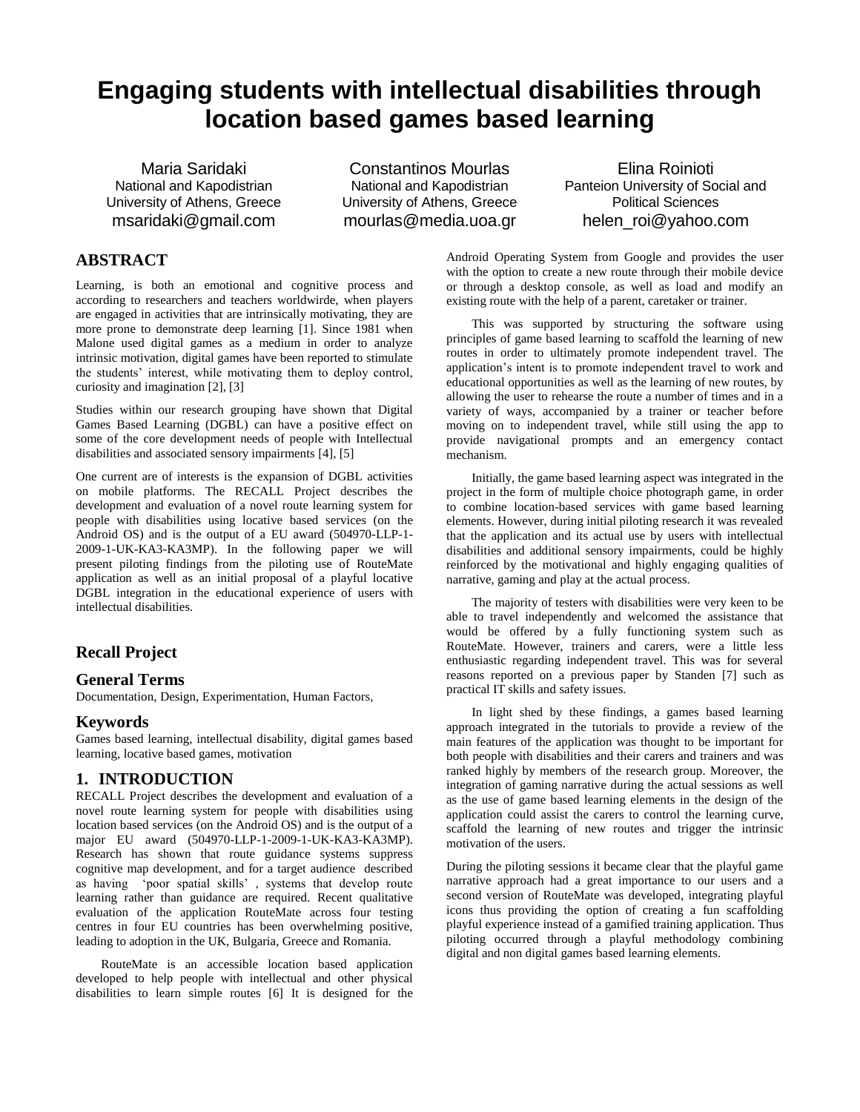# **Engaging students with intellectual disabilities through location based games based learning**

Maria Saridaki National and Kapodistrian University of Athens, Greece msaridaki@gmail.com

Constantinos Mourlas National and Kapodistrian University of Athens, Greece mourlas@media.uoa.gr

Elina Roinioti Panteion University of Social and Political Sciences helen\_roi@yahoo.com

# **ABSTRACT**

Learning, is both an emotional and cognitive process and according to researchers and teachers worldwirde, when players are engaged in activities that are intrinsically motivating, they are more prone to demonstrate deep learning [1]. Since 1981 when Malone used digital games as a medium in order to analyze intrinsic motivation, digital games have been reported to stimulate the students' interest, while motivating them to deploy control, curiosity and imagination [2], [3]

Studies within our research grouping have shown that Digital Games Based Learning (DGBL) can have a positive effect on some of the core development needs of people with Intellectual disabilities and associated sensory impairments [4], [5]

One current are of interests is the expansion of DGBL activities on mobile platforms. The RECALL Project describes the development and evaluation of a novel route learning system for people with disabilities using locative based services (on the Android OS) and is the output of a EU award (504970-LLP-1- 2009-1-UK-KA3-KA3MP). In the following paper we will present piloting findings from the piloting use of RouteMate application as well as an initial proposal of a playful locative DGBL integration in the educational experience of users with intellectual disabilities.

## **Recall Project**

## **General Terms**

Documentation, Design, Experimentation, Human Factors,

#### **Keywords**

Games based learning, intellectual disability, digital games based learning, locative based games, motivation

# **1. INTRODUCTION**

RECALL Project describes the development and evaluation of a novel route learning system for people with disabilities using location based services (on the Android OS) and is the output of a major EU award (504970-LLP-1-2009-1-UK-KA3-KA3MP). Research has shown that route guidance systems suppress cognitive map development, and for a target audience described as having 'poor spatial skills' , systems that develop route learning rather than guidance are required. Recent qualitative evaluation of the application RouteMate across four testing centres in four EU countries has been overwhelming positive, leading to adoption in the UK, Bulgaria, Greece and Romania.

RouteMate is an accessible location based application developed to help people with intellectual and other physical disabilities to learn simple routes [6] It is designed for the Android Operating System from Google and provides the user with the option to create a new route through their mobile device or through a desktop console, as well as load and modify an existing route with the help of a parent, caretaker or trainer.

This was supported by structuring the software using principles of game based learning to scaffold the learning of new routes in order to ultimately promote independent travel. The application's intent is to promote independent travel to work and educational opportunities as well as the learning of new routes, by allowing the user to rehearse the route a number of times and in a variety of ways, accompanied by a trainer or teacher before moving on to independent travel, while still using the app to provide navigational prompts and an emergency contact mechanism.

Initially, the game based learning aspect was integrated in the project in the form of multiple choice photograph game, in order to combine location-based services with game based learning elements. However, during initial piloting research it was revealed that the application and its actual use by users with intellectual disabilities and additional sensory impairments, could be highly reinforced by the motivational and highly engaging qualities of narrative, gaming and play at the actual process.

The majority of testers with disabilities were very keen to be able to travel independently and welcomed the assistance that would be offered by a fully functioning system such as RouteMate. However, trainers and carers, were a little less enthusiastic regarding independent travel. This was for several reasons reported on a previous paper by Standen [7] such as practical IT skills and safety issues.

In light shed by these findings, a games based learning approach integrated in the tutorials to provide a review of the main features of the application was thought to be important for both people with disabilities and their carers and trainers and was ranked highly by members of the research group. Moreover, the integration of gaming narrative during the actual sessions as well as the use of game based learning elements in the design of the application could assist the carers to control the learning curve, scaffold the learning of new routes and trigger the intrinsic motivation of the users.

During the piloting sessions it became clear that the playful game narrative approach had a great importance to our users and a second version of RouteMate was developed, integrating playful icons thus providing the option of creating a fun scaffolding playful experience instead of a gamified training application. Thus piloting occurred through a playful methodology combining digital and non digital games based learning elements.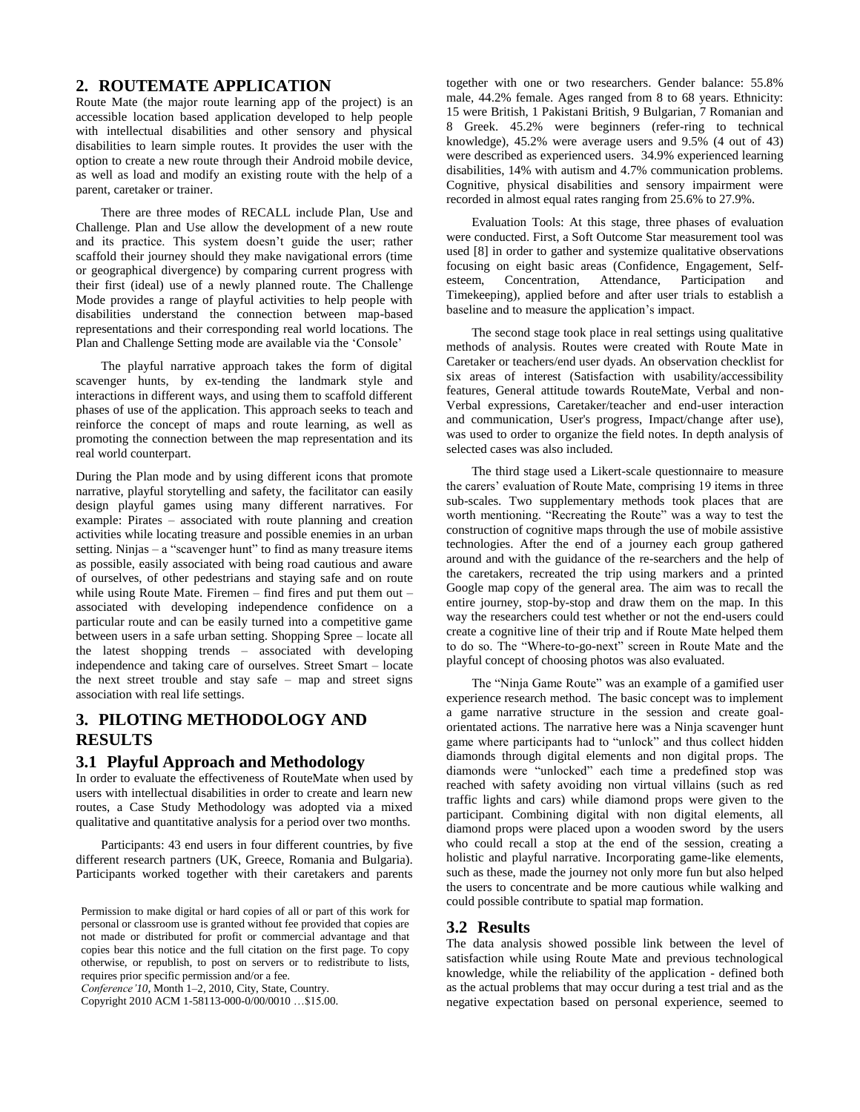## **2. ROUTEMATE APPLICATION**

Route Mate (the major route learning app of the project) is an accessible location based application developed to help people with intellectual disabilities and other sensory and physical disabilities to learn simple routes. It provides the user with the option to create a new route through their Android mobile device, as well as load and modify an existing route with the help of a parent, caretaker or trainer.

There are three modes of RECALL include Plan, Use and Challenge. Plan and Use allow the development of a new route and its practice. This system doesn't guide the user; rather scaffold their journey should they make navigational errors (time or geographical divergence) by comparing current progress with their first (ideal) use of a newly planned route. The Challenge Mode provides a range of playful activities to help people with disabilities understand the connection between map-based representations and their corresponding real world locations. The Plan and Challenge Setting mode are available via the 'Console'

The playful narrative approach takes the form of digital scavenger hunts, by ex-tending the landmark style and interactions in different ways, and using them to scaffold different phases of use of the application. This approach seeks to teach and reinforce the concept of maps and route learning, as well as promoting the connection between the map representation and its real world counterpart.

During the Plan mode and by using different icons that promote narrative, playful storytelling and safety, the facilitator can easily design playful games using many different narratives. For example: Pirates – associated with route planning and creation activities while locating treasure and possible enemies in an urban setting. Ninjas – a "scavenger hunt" to find as many treasure items as possible, easily associated with being road cautious and aware of ourselves, of other pedestrians and staying safe and on route while using Route Mate. Firemen – find fires and put them out – associated with developing independence confidence on a particular route and can be easily turned into a competitive game between users in a safe urban setting. Shopping Spree – locate all the latest shopping trends – associated with developing independence and taking care of ourselves. Street Smart – locate the next street trouble and stay safe – map and street signs association with real life settings.

# **3. PILOTING METHODOLOGY AND RESULTS**

#### **3.1 Playful Approach and Methodology**

In order to evaluate the effectiveness of RouteMate when used by users with intellectual disabilities in order to create and learn new routes, a Case Study Methodology was adopted via a mixed qualitative and quantitative analysis for a period over two months.

Participants: 43 end users in four different countries, by five different research partners (UK, Greece, Romania and Bulgaria). Participants worked together with their caretakers and parents

*Conference'10*, Month 1–2, 2010, City, State, Country.

Copyright 2010 ACM 1-58113-000-0/00/0010 …\$15.00.

together with one or two researchers. Gender balance: 55.8% male, 44.2% female. Ages ranged from 8 to 68 years. Ethnicity: 15 were British, 1 Pakistani British, 9 Bulgarian, 7 Romanian and 8 Greek. 45.2% were beginners (refer-ring to technical knowledge), 45.2% were average users and 9.5% (4 out of 43) were described as experienced users. 34.9% experienced learning disabilities, 14% with autism and 4.7% communication problems. Cognitive, physical disabilities and sensory impairment were recorded in almost equal rates ranging from 25.6% to 27.9%.

Evaluation Tools: At this stage, three phases of evaluation were conducted. First, a Soft Outcome Star measurement tool was used [8] in order to gather and systemize qualitative observations focusing on eight basic areas (Confidence, Engagement, Selfesteem, Concentration, Attendance, Participation and Timekeeping), applied before and after user trials to establish a baseline and to measure the application's impact.

The second stage took place in real settings using qualitative methods of analysis. Routes were created with Route Mate in Caretaker or teachers/end user dyads. An observation checklist for six areas of interest (Satisfaction with usability/accessibility features, General attitude towards RouteMate, Verbal and non-Verbal expressions, Caretaker/teacher and end-user interaction and communication, User's progress, Impact/change after use), was used to order to organize the field notes. In depth analysis of selected cases was also included.

The third stage used a Likert-scale questionnaire to measure the carers' evaluation of Route Mate, comprising 19 items in three sub-scales. Two supplementary methods took places that are worth mentioning. "Recreating the Route" was a way to test the construction of cognitive maps through the use of mobile assistive technologies. After the end of a journey each group gathered around and with the guidance of the re-searchers and the help of the caretakers, recreated the trip using markers and a printed Google map copy of the general area. The aim was to recall the entire journey, stop-by-stop and draw them on the map. In this way the researchers could test whether or not the end-users could create a cognitive line of their trip and if Route Mate helped them to do so. The "Where-to-go-next" screen in Route Mate and the playful concept of choosing photos was also evaluated.

The "Ninja Game Route" was an example of a gamified user experience research method. The basic concept was to implement a game narrative structure in the session and create goalorientated actions. The narrative here was a Ninja scavenger hunt game where participants had to "unlock" and thus collect hidden diamonds through digital elements and non digital props. The diamonds were "unlocked" each time a predefined stop was reached with safety avoiding non virtual villains (such as red traffic lights and cars) while diamond props were given to the participant. Combining digital with non digital elements, all diamond props were placed upon a wooden sword by the users who could recall a stop at the end of the session, creating a holistic and playful narrative. Incorporating game-like elements, such as these, made the journey not only more fun but also helped the users to concentrate and be more cautious while walking and could possible contribute to spatial map formation.

#### **3.2 Results**

The data analysis showed possible link between the level of satisfaction while using Route Mate and previous technological knowledge, while the reliability of the application - defined both as the actual problems that may occur during a test trial and as the negative expectation based on personal experience, seemed to

Permission to make digital or hard copies of all or part of this work for personal or classroom use is granted without fee provided that copies are not made or distributed for profit or commercial advantage and that copies bear this notice and the full citation on the first page. To copy otherwise, or republish, to post on servers or to redistribute to lists, requires prior specific permission and/or a fee.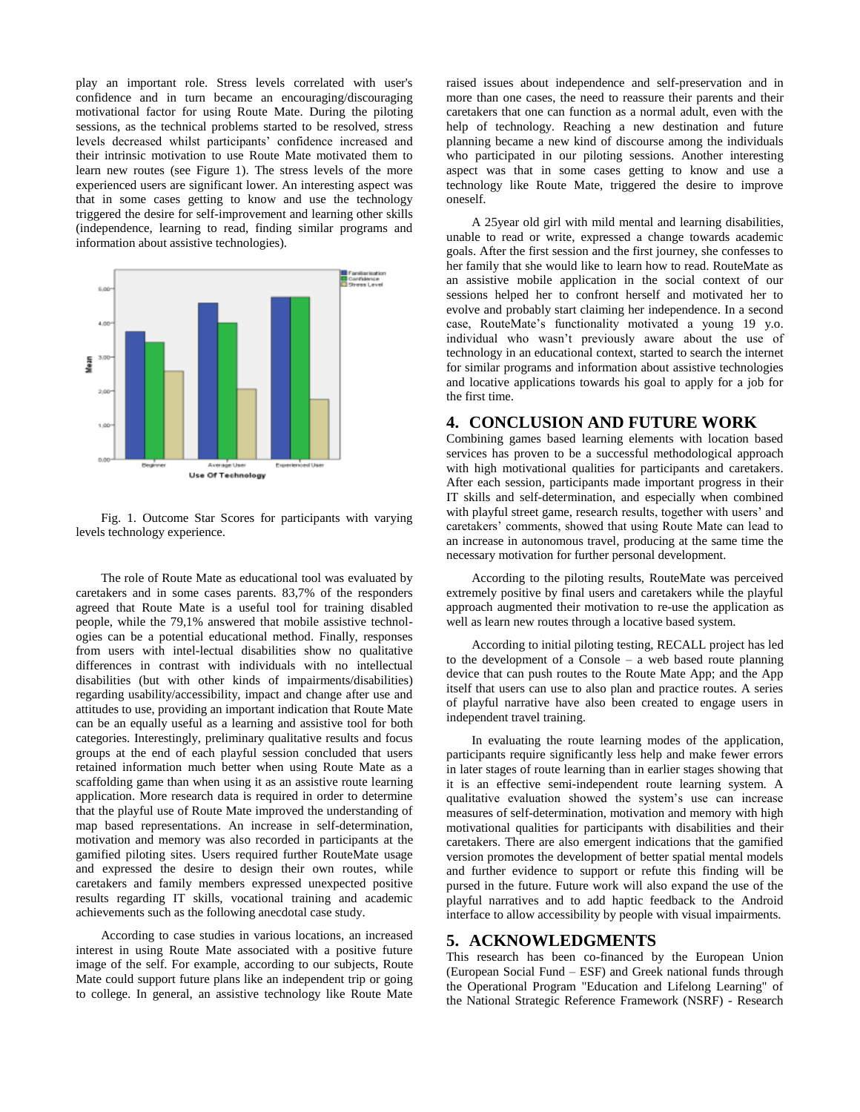play an important role. Stress levels correlated with user's confidence and in turn became an encouraging/discouraging motivational factor for using Route Mate. During the piloting sessions, as the technical problems started to be resolved, stress levels decreased whilst participants' confidence increased and their intrinsic motivation to use Route Mate motivated them to learn new routes (see Figure 1). The stress levels of the more experienced users are significant lower. An interesting aspect was that in some cases getting to know and use the technology triggered the desire for self-improvement and learning other skills (independence, learning to read, finding similar programs and information about assistive technologies).



Fig. 1. Outcome Star Scores for participants with varying levels technology experience.

The role of Route Mate as educational tool was evaluated by caretakers and in some cases parents. 83,7% of the responders agreed that Route Mate is a useful tool for training disabled people, while the 79,1% answered that mobile assistive technologies can be a potential educational method. Finally, responses from users with intel-lectual disabilities show no qualitative differences in contrast with individuals with no intellectual disabilities (but with other kinds of impairments/disabilities) regarding usability/accessibility, impact and change after use and attitudes to use, providing an important indication that Route Mate can be an equally useful as a learning and assistive tool for both categories. Interestingly, preliminary qualitative results and focus groups at the end of each playful session concluded that users retained information much better when using Route Mate as a scaffolding game than when using it as an assistive route learning application. More research data is required in order to determine that the playful use of Route Mate improved the understanding of map based representations. An increase in self-determination, motivation and memory was also recorded in participants at the gamified piloting sites. Users required further RouteMate usage and expressed the desire to design their own routes, while caretakers and family members expressed unexpected positive results regarding IT skills, vocational training and academic achievements such as the following anecdotal case study.

According to case studies in various locations, an increased interest in using Route Mate associated with a positive future image of the self. For example, according to our subjects, Route Mate could support future plans like an independent trip or going to college. In general, an assistive technology like Route Mate

raised issues about independence and self-preservation and in more than one cases, the need to reassure their parents and their caretakers that one can function as a normal adult, even with the help of technology. Reaching a new destination and future planning became a new kind of discourse among the individuals who participated in our piloting sessions. Another interesting aspect was that in some cases getting to know and use a technology like Route Mate, triggered the desire to improve oneself.

A 25year old girl with mild mental and learning disabilities, unable to read or write, expressed a change towards academic goals. After the first session and the first journey, she confesses to her family that she would like to learn how to read. RouteMate as an assistive mobile application in the social context of our sessions helped her to confront herself and motivated her to evolve and probably start claiming her independence. In a second case, RouteMate's functionality motivated a young 19 y.o. individual who wasn't previously aware about the use of technology in an educational context, started to search the internet for similar programs and information about assistive technologies and locative applications towards his goal to apply for a job for the first time.

#### **4. CONCLUSION AND FUTURE WORK**

Combining games based learning elements with location based services has proven to be a successful methodological approach with high motivational qualities for participants and caretakers. After each session, participants made important progress in their IT skills and self-determination, and especially when combined with playful street game, research results, together with users' and caretakers' comments, showed that using Route Mate can lead to an increase in autonomous travel, producing at the same time the necessary motivation for further personal development.

According to the piloting results, RouteMate was perceived extremely positive by final users and caretakers while the playful approach augmented their motivation to re-use the application as well as learn new routes through a locative based system.

According to initial piloting testing, RECALL project has led to the development of a Console – a web based route planning device that can push routes to the Route Mate App; and the App itself that users can use to also plan and practice routes. A series of playful narrative have also been created to engage users in independent travel training.

In evaluating the route learning modes of the application, participants require significantly less help and make fewer errors in later stages of route learning than in earlier stages showing that it is an effective semi-independent route learning system. A qualitative evaluation showed the system's use can increase measures of self-determination, motivation and memory with high motivational qualities for participants with disabilities and their caretakers. There are also emergent indications that the gamified version promotes the development of better spatial mental models and further evidence to support or refute this finding will be pursed in the future. Future work will also expand the use of the playful narratives and to add haptic feedback to the Android interface to allow accessibility by people with visual impairments.

## **5. ACKNOWLEDGMENTS**

This research has been co-financed by the European Union (European Social Fund – ESF) and Greek national funds through the Operational Program "Education and Lifelong Learning" of the National Strategic Reference Framework (NSRF) - Research